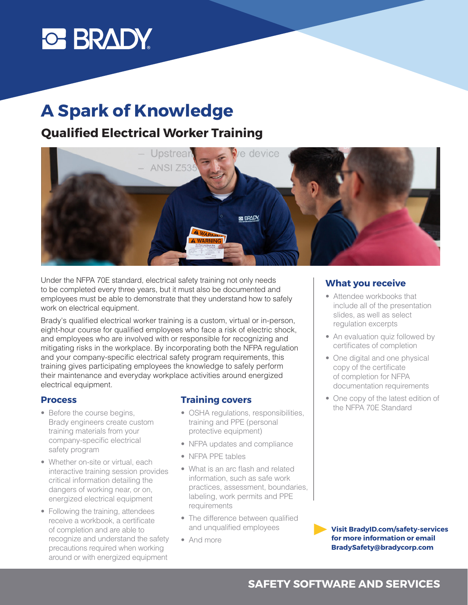# **C BRADY**

# **A Spark of Knowledge**

## **Qualified Electrical Worker Training**



Under the NFPA 70E standard, electrical safety training not only needs to be completed every three years, but it must also be documented and employees must be able to demonstrate that they understand how to safely work on electrical equipment.

Brady's qualified electrical worker training is a custom, virtual or in-person, eight-hour course for qualified employees who face a risk of electric shock, and employees who are involved with or responsible for recognizing and mitigating risks in the workplace. By incorporating both the NFPA regulation and your company-specific electrical safety program requirements, this training gives participating employees the knowledge to safely perform their maintenance and everyday workplace activities around energized electrical equipment.

#### **Process**

- Before the course begins, Brady engineers create custom training materials from your company-specific electrical safety program
- Whether on-site or virtual, each interactive training session provides critical information detailing the dangers of working near, or on, energized electrical equipment
- Following the training, attendees receive a workbook, a certificate of completion and are able to recognize and understand the safety precautions required when working around or with energized equipment

#### **Training covers**

- OSHA regulations, responsibilities, training and PPE (personal protective equipment)
- NFPA updates and compliance
- NFPA PPE tables
- What is an arc flash and related information, such as safe work practices, assessment, boundaries, labeling, work permits and PPE requirements
- The difference between qualified and unqualified employees
- And more

#### **What you receive**

- Attendee workbooks that include all of the presentation slides, as well as select regulation excerpts
- An evaluation quiz followed by certificates of completion
- One digital and one physical copy of the certificate of completion for NFPA documentation requirements
- One copy of the latest edition of the NFPA 70E Standard

**Visit BradyID.com/safety-services for more information or email BradySafety@bradycorp.com**

### **SAFETY SOFTWARE AND SERVICES**